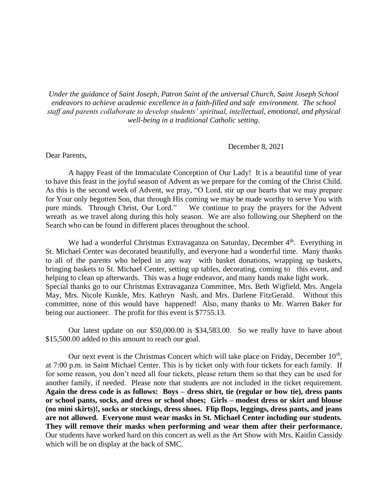*Under the guidance of Saint Joseph, Patron Saint of the universal Church, Saint Joseph School endeavors to achieve academic excellence in a faith-filled and safe environment. The school staff and parents collaborate to develop students' spiritual, intellectual, emotional, and physical well-being in a traditional Catholic setting.*

December 8, 2021

Dear Parents,

A happy Feast of the Immaculate Conception of Our Lady! It is a beautiful time of year to have this feast in the joyful season of Advent as we prepare for the coming of the Christ Child. As this is the second week of Advent, we pray, "O Lord, stir up our hearts that we may prepare for Your only begotten Son, that through His coming we may be made worthy to serve You with pure minds. Through Christ, Our Lord." We continue to pray the prayers for the Advent wreath as we travel along during this holy season. We are also following our Shepherd on the Search who can be found in different places throughout the school.

We had a wonderful Christmas Extravaganza on Saturday, December  $4<sup>th</sup>$ . Everything in St. Michael Center was decorated beautifully, and everyone had a wonderful time. Many thanks to all of the parents who helped in any way with basket donations, wrapping up baskets, bringing baskets to St. Michael Center, setting up tables, decorating, coming to this event, and helping to clean up afterwards. This was a huge endeavor, and many hands make light work. Special thanks go to our Christmas Extravaganza Committee, Mrs. Beth Wigfield, Mrs. Angela May, Mrs. Nicole Kunkle, Mrs. Kathryn Nash, and Mrs. Darlene FitzGerald. Without this committee, none of this would have happened! Also, many thanks to Mr. Warren Baker for being our auctioneer. The profit for this event is \$7755.13.

Our latest update on our \$50,000.00 is \$34,583.00. So we really have to have about \$15,500.00 added to this amount to reach our goal.

Our next event is the Christmas Concert which will take place on Friday, December  $10<sup>th</sup>$ , at 7:00 p.m. in Saint Michael Center. This is by ticket only with four tickets for each family. If for some reason, you don't need all four tickets, please return them so that they can be used for another family, if needed. Please note that students are not included in the ticket requirement. **Again the dress code is as follows: Boys – dress shirt, tie (regular or bow tie), dress pants or school pants, socks, and dress or school shoes; Girls – modest dress or skirt and blouse (no mini skirts)!, socks or stockings, dress shoes. Flip flops, leggings, dress pants, and jeans are not allowed. Everyone must wear masks in St. Michael Center including our students. They will remove their masks when performing and wear them after their performance.**  Our students have worked hard on this concert as well as the Art Show with Mrs. Kaitlin Cassidy which will be on display at the back of SMC.